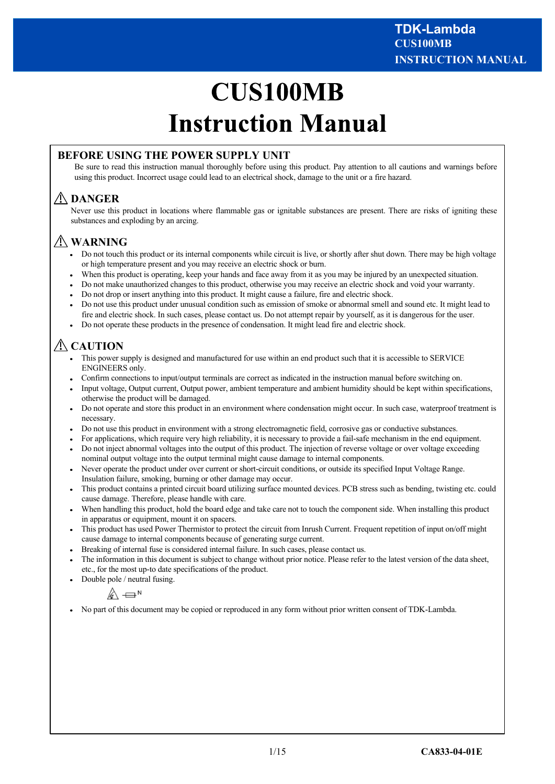# **CUS100MB Instruction Manual**

### **BEFORE USING THE POWER SUPPLY UNIT**

Be sure to read this instruction manual thoroughly before using this product. Pay attention to all cautions and warnings before using this product. Incorrect usage could lead to an electrical shock, damage to the unit or a fire hazard.

## **DANGER**

Never use this product in locations where flammable gas or ignitable substances are present. There are risks of igniting these substances and exploding by an arcing.

## **WARNING**

- Do not touch this product or its internal components while circuit is live, or shortly after shut down. There may be high voltage or high temperature present and you may receive an electric shock or burn.
- When this product is operating, keep your hands and face away from it as you may be injured by an unexpected situation.
- Do not make unauthorized changes to this product, otherwise you may receive an electric shock and void your warranty.
- Do not drop or insert anything into this product. It might cause a failure, fire and electric shock.
- Do not use this product under unusual condition such as emission of smoke or abnormal smell and sound etc. It might lead to fire and electric shock. In such cases, please contact us. Do not attempt repair by yourself, as it is dangerous for the user.
- Do not operate these products in the presence of condensation. It might lead fire and electric shock.

## **CAUTION**

- This power supply is designed and manufactured for use within an end product such that it is accessible to SERVICE ENGINEERS only.
- Confirm connections to input/output terminals are correct as indicated in the instruction manual before switching on.
- Input voltage, Output current, Output power, ambient temperature and ambient humidity should be kept within specifications, otherwise the product will be damaged.
- Do not operate and store this product in an environment where condensation might occur. In such case, waterproof treatment is necessary.
- Do not use this product in environment with a strong electromagnetic field, corrosive gas or conductive substances.
- For applications, which require very high reliability, it is necessary to provide a fail-safe mechanism in the end equipment.
- Do not inject abnormal voltages into the output of this product. The injection of reverse voltage or over voltage exceeding nominal output voltage into the output terminal might cause damage to internal components.
- Never operate the product under over current or short-circuit conditions, or outside its specified Input Voltage Range. Insulation failure, smoking, burning or other damage may occur.
- This product contains a printed circuit board utilizing surface mounted devices. PCB stress such as bending, twisting etc. could cause damage. Therefore, please handle with care.
- When handling this product, hold the board edge and take care not to touch the component side. When installing this product in apparatus or equipment, mount it on spacers.
- This product has used Power Thermistor to protect the circuit from Inrush Current. Frequent repetition of input on/off might cause damage to internal components because of generating surge current.
- Breaking of internal fuse is considered internal failure. In such cases, please contact us.
- The information in this document is subject to change without prior notice. Please refer to the latest version of the data sheet, etc., for the most up-to date specifications of the product.
- Double pole / neutral fusing.

$$
\mathbb{A} \rightleftharpoons
$$
<sup>N</sup>

No part of this document may be copied or reproduced in any form without prior written consent of TDK-Lambda.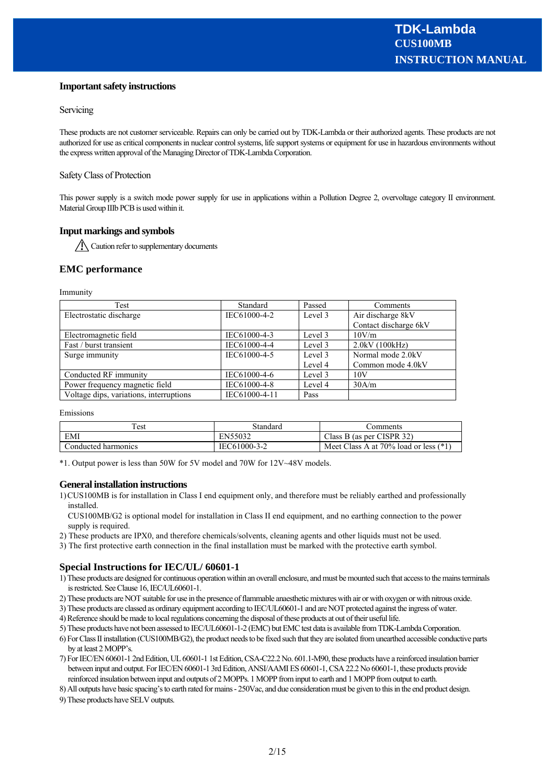#### **Important safety instructions**

#### **Servicing**

These products are not customer serviceable. Repairs can only be carried out by TDK-Lambda or their authorized agents. These products are not authorized for use as critical components in nuclear control systems, life support systems or equipment for use in hazardous environments without the express written approval of the Managing Director of TDK-Lambda Corporation.

#### Safety Class of Protection

This power supply is a switch mode power supply for use in applications within a Pollution Degree 2, overvoltage category II environment. Material Group IIIb PCB is used within it.

#### **Input markings and symbols**

Caution refer to supplementary documents

#### **EMC performance**

Immunity

| Test                                    | Standard      | Passed  | Comments              |
|-----------------------------------------|---------------|---------|-----------------------|
| Electrostatic discharge                 | IEC61000-4-2  | Level 3 | Air discharge 8kV     |
|                                         |               |         | Contact discharge 6kV |
| Electromagnetic field                   | IEC61000-4-3  | Level 3 | 10V/m                 |
| Fast / burst transient                  | IEC61000-4-4  | Level 3 | 2.0kV(100kHz)         |
| Surge immunity                          | IEC61000-4-5  | Level 3 | Normal mode 2.0kV     |
|                                         |               | Level 4 | Common mode 4.0kV     |
| Conducted RF immunity                   | IEC61000-4-6  | Level 3 | 10V                   |
| Power frequency magnetic field          | IEC61000-4-8  | Level 4 | 30A/m                 |
| Voltage dips, variations, interruptions | IEC61000-4-11 | Pass    |                       |

Emissions

| Test                | Standard     | comments                                |
|---------------------|--------------|-----------------------------------------|
| EMI                 | EN55032      | Class B (as per CISPR $32$ )            |
| Conducted harmonics | IEC61000-3-2 | Meet Class A at 70% load or less $(*1)$ |

\*1. Output power is less than 50W for 5V model and 70W for 12V~48V models.

#### **General installation instructions**

- 1)CUS100MB is for installation in Class I end equipment only, and therefore must be reliably earthed and professionally installed.
- CUS100MB/G2 is optional model for installation in Class II end equipment, and no earthing connection to the power supply is required.
- 2) These products are IPX0, and therefore chemicals/solvents, cleaning agents and other liquids must not be used.
- 3) The first protective earth connection in the final installation must be marked with the protective earth symbol.

#### **Special Instructions for IEC/UL/ 60601-1**

- 1) These products are designed for continuous operation within an overall enclosure, and must be mounted such that access to the mains terminals is restricted. See Clause 16, IEC/UL60601-1.
- 2) These products are NOT suitable for use in the presence of flammable anaesthetic mixtures with air or with oxygen or with nitrous oxide.
- 3) These products are classed as ordinary equipment according to IEC/UL60601-1 and are NOT protected against the ingress of water.
- 4) Reference should be made to local regulations concerning the disposal of these products at out of their useful life.
- 5) These products have not been assessed to IEC/UL60601-1-2 (EMC) but EMC test data is available from TDK-Lambda Corporation.
- 6) For Class II installation (CUS100MB/G2), the product needs to be fixed such that they are isolated from unearthed accessible conductive parts by at least 2 MOPP's.
- 7) For IEC/EN 60601-1 2nd Edition, UL 60601-1 1st Edition, CSA-C22.2 No. 601.1-M90, these products have a reinforced insulation barrier between input and output. For IEC/EN 60601-1 3rd Edition, ANSI/AAMI ES 60601-1, CSA 22.2 No 60601-1, these products provide reinforced insulation between input and outputs of 2 MOPPs. 1 MOPP from input to earth and 1 MOPP from output to earth.
- 8) All outputs have basic spacing's to earth rated for mains 250Vac, and due consideration must be given to this in the end product design.

9) These products have SELV outputs.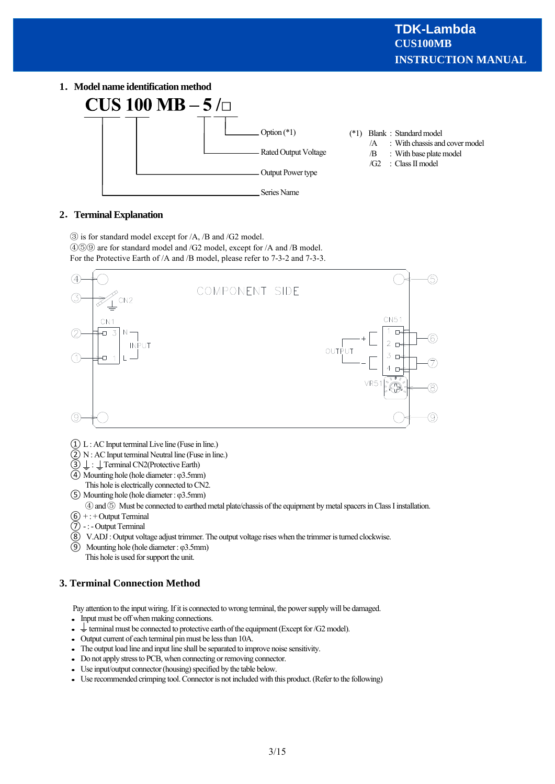**1 Model name identification method**



- (\*1) Blank : Standard model
	- /A : With chassis and cover model
	- /B : With base plate model
	- /G2 : Class II model

#### **2 Terminal Explanation**

③ is for standard model except for /A, /B and /G2 model.

④⑤⑨ are for standard model and /G2 model, except for /A and /B model. For the Protective Earth of /A and /B model, please refer to 7-3-2 and 7-3-3.



- ① L : AC Input terminal Live line (Fuse in line.)
- ② N : AC Input terminal Neutral line (Fuse in line.)
- $\textcircled{3} \perp$ :  $\perp$  Terminal CN2(Protective Earth)
- ④ Mounting hole (hole diameter : φ3.5mm) This hole is electrically connected to CN2.
- ⑤ Mounting hole (hole diameter : φ3.5mm)
- ④and ⑤ Must be connected to earthed metal plate/chassis of the equipment by metal spacers in Class I installation.
- $(6)$  + : + Output Terminal
- $\widetilde{P}$  -: Output Terminal
- $\widetilde{\textcircled{8}}$  V.ADJ : Output voltage adjust trimmer. The output voltage rises when the trimmer is turned clockwise.
- ⑨ Mounting hole (hole diameter : φ3.5mm) This hole is used for support the unit.

#### **3. Terminal Connection Method**

Pay attention to the input wiring. If it is connected to wrong terminal, the power supply will be damaged.

- Input must be off when making connections.
- $\bullet \equiv$  terminal must be connected to protective earth of the equipment (Except for /G2 model).
- Output current of each terminal pin must be less than 10A.
- The output load line and input line shall be separated to improve noise sensitivity.
- Do not apply stress to PCB, when connecting or removing connector.
- Use input/output connector (housing) specified by the table below.
- Use recommended crimping tool. Connector is not included with this product. (Refer to the following)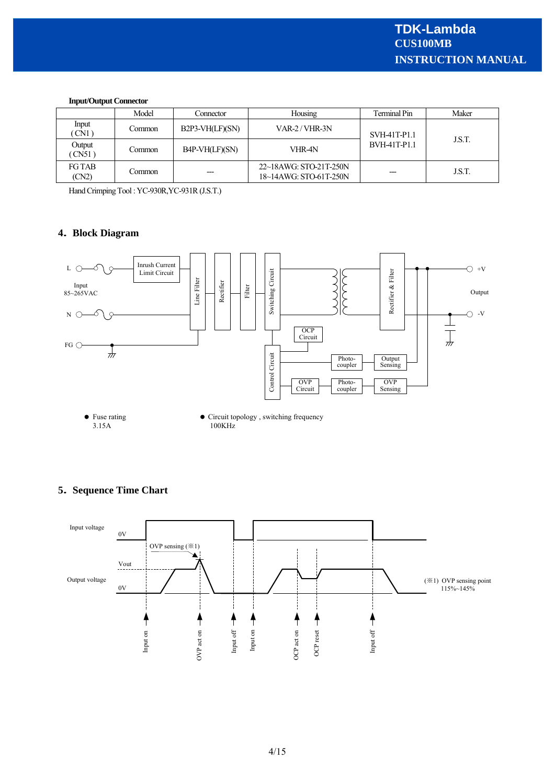#### **Input/Output Connector**

|                        | Model  | Connector         | Housing                                          | Terminal Pin | Maker  |
|------------------------|--------|-------------------|--------------------------------------------------|--------------|--------|
| Input<br>CN1           | Common | $B2P3-VH(LF)(SN)$ | VAR-2/VHR-3N                                     | SVH-41T-P1.1 |        |
| Output<br>CN51         | Common | B4P-VH(LF)(SN)    | VHR-4N                                           | BVH-41T-P1.1 | J.S.T. |
| <b>FG TAB</b><br>(CN2) | Common | $---$             | 22~18AWG: STO-21T-250N<br>18~14AWG: STO-61T-250N | ---          | J.S.T. |

Hand Crimping Tool : YC-930R,YC-931R (J.S.T.)

#### **4 Block Diagram**



#### **5 Sequence Time Chart**

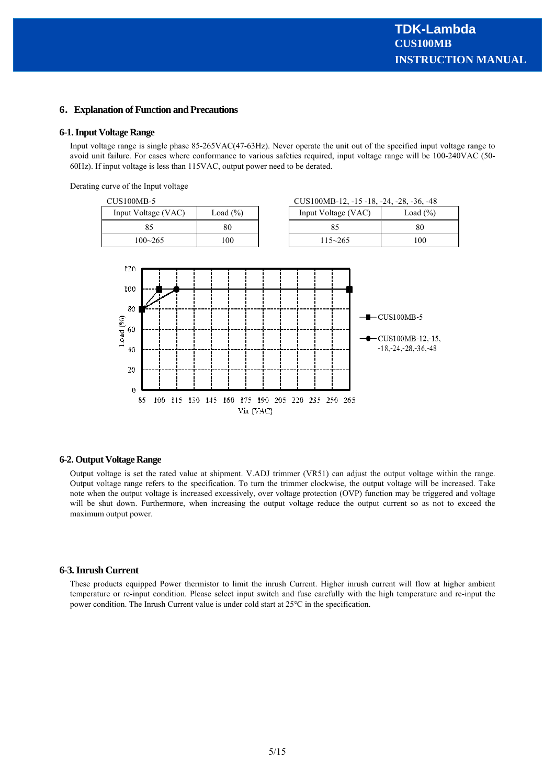#### **6 Explanation of Function and Precautions**

#### **6-1. Input Voltage Range**

Input voltage range is single phase 85-265VAC(47-63Hz). Never operate the unit out of the specified input voltage range to avoid unit failure. For cases where conformance to various safeties required, input voltage range will be 100-240VAC (50- 60Hz). If input voltage is less than 115VAC, output power need to be derated.

Derating curve of the Input voltage





#### **6-2. Output Voltage Range**

Output voltage is set the rated value at shipment. V.ADJ trimmer (VR51) can adjust the output voltage within the range. Output voltage range refers to the specification. To turn the trimmer clockwise, the output voltage will be increased. Take note when the output voltage is increased excessively, over voltage protection (OVP) function may be triggered and voltage will be shut down. Furthermore, when increasing the output voltage reduce the output current so as not to exceed the maximum output power.

#### **6-3. Inrush Current**

These products equipped Power thermistor to limit the inrush Current. Higher inrush current will flow at higher ambient temperature or re-input condition. Please select input switch and fuse carefully with the high temperature and re-input the power condition. The Inrush Current value is under cold start at 25℃ in the specification.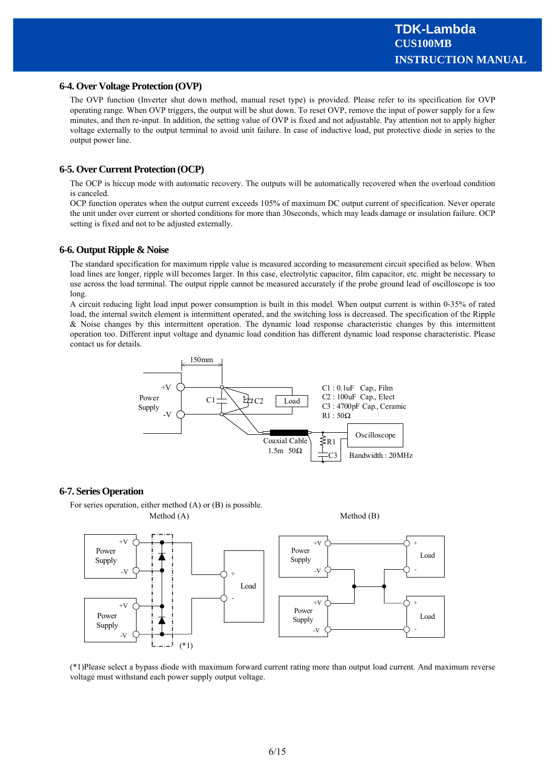#### **6-4. Over Voltage Protection (OVP)**

The OVP function (Inverter shut down method, manual reset type) is provided. Please refer to its specification for OVP operating range. When OVP triggers, the output will be shut down. To reset OVP, remove the input of power supply for a few minutes, and then re-input. In addition, the setting value of OVP is fixed and not adjustable. Pay attention not to apply higher voltage externally to the output terminal to avoid unit failure. In case of inductive load, put protective diode in series to the output power line.

#### **6-5. Over Current Protection (OCP)**

The OCP is hiccup mode with automatic recovery. The outputs will be automatically recovered when the overload condition is canceled.

OCP function operates when the output current exceeds 105% of maximum DC output current of specification. Never operate the unit under over current or shorted conditions for more than 30seconds, which may leads damage or insulation failure. OCP setting is fixed and not to be adjusted externally.

#### **6-6. Output Ripple & Noise**

The standard specification for maximum ripple value is measured according to measurement circuit specified as below. When load lines are longer, ripple will becomes larger. In this case, electrolytic capacitor, film capacitor, etc. might be necessary to use across the load terminal. The output ripple cannot be measured accurately if the probe ground lead of oscilloscope is too long.

A circuit reducing light load input power consumption is built in this model. When output current is within 0-35% of rated load, the internal switch element is intermittent operated, and the switching loss is decreased. The specification of the Ripple & Noise changes by this intermittent operation. The dynamic load response characteristic changes by this intermittent operation too. Different input voltage and dynamic load condition has different dynamic load response characteristic. Please contact us for details.



#### **6-7. Series Operation**

For series operation, either method (A) or (B) is possible.



(\*1)Please select a bypass diode with maximum forward current rating more than output load current. And maximum reverse voltage must withstand each power supply output voltage.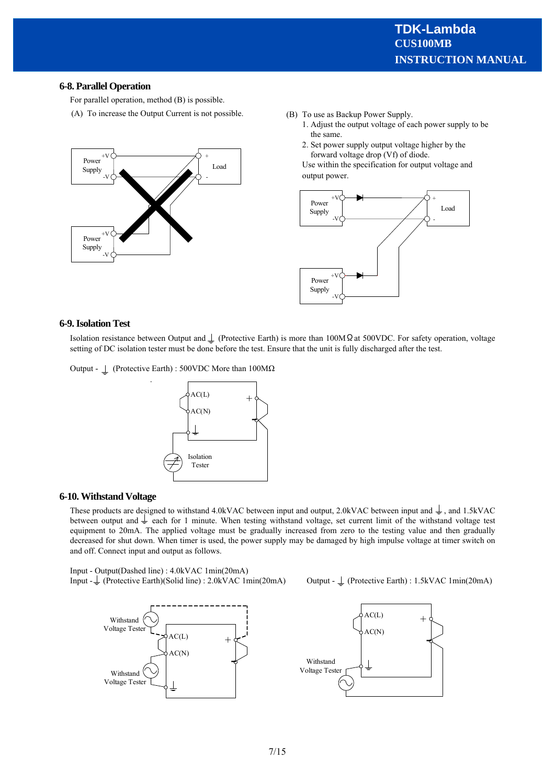#### **6-8. Parallel Operation**

For parallel operation, method (B) is possible.

(A) To increase the Output Current is not possible.



- (B) To use as Backup Power Supply.
	- 1. Adjust the output voltage of each power supply to be the same.
	- 2. Set power supply output voltage higher by the forward voltage drop (Vf) of diode.

Use within the specification for output voltage and output power.



#### **6-9. Isolation Test**

Isolation resistance between Output and  $\perp$  (Protective Earth) is more than 100MΩat 500VDC. For safety operation, voltage setting of DC isolation tester must be done before the test. Ensure that the unit is fully discharged after the test.

Output - (Protective Earth) : 500VDC More than 100MΩ

.



#### **6-10. Withstand Voltage**

These products are designed to withstand 4.0kVAC between input and output, 2.0kVAC between input and  $\frac{1}{\epsilon}$ , and 1.5kVAC between output and  $\perp$  each for 1 minute. When testing withstand voltage, set current limit of the withstand voltage test equipment to 20mA. The applied voltage must be gradually increased from zero to the testing value and then gradually decreased for shut down. When timer is used, the power supply may be damaged by high impulse voltage at timer switch on and off. Connect input and output as follows.

Input - Output(Dashed line) : 4.0kVAC 1min(20mA) Input - (Protective Earth)(Solid line) : 2.0kVAC 1min(20mA) Output - (Protective Earth) : 1.5kVAC 1min(20mA)



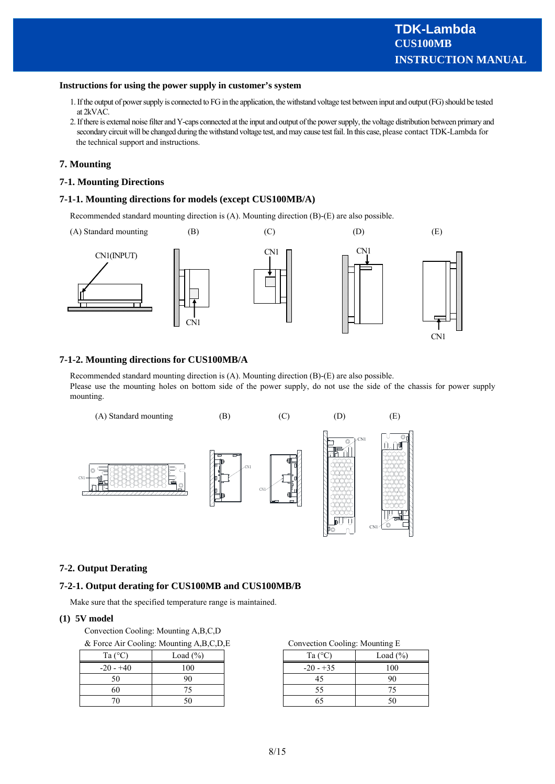#### **Instructions for using the power supply in customer's system**

- 1. If the output of power supply is connected to FG in the application, the withstand voltage test between input and output (FG) should be tested at 2kVAC.
- 2. If there is external noise filter and Y-caps connected at the input and output of the power supply, the voltage distribution between primary and secondary circuit will be changed during the withstand voltage test, and may cause test fail. In this case, please contact TDK-Lambda for the technical support and instructions.

#### **7. Mounting**

#### **7-1. Mounting Directions**

#### **7-1-1. Mounting directions for models (except CUS100MB/A)**

Recommended standard mounting direction is (A). Mounting direction (B)-(E) are also possible.



#### **7-1-2. Mounting directions for CUS100MB/A**

Recommended standard mounting direction is (A). Mounting direction (B)-(E) are also possible. Please use the mounting holes on bottom side of the power supply, do not use the side of the chassis for power supply mounting.



#### **7-2. Output Derating**

#### **7-2-1. Output derating for CUS100MB and CUS100MB/B**

Make sure that the specified temperature range is maintained.

#### **(1) 5V model**

Convection Cooling: Mounting A,B,C,D

| & Force Air Cooling: Mounting A, B, C, D, E |  |  | Convection Cooling: Mounting E |                 |  |
|---------------------------------------------|--|--|--------------------------------|-----------------|--|
| Ta $(^{\circ}C)$<br>Load $(\% )$            |  |  | Ta ( $\rm{^{\circ}C}$          | Load            |  |
| $-20 - +40$                                 |  |  | $-20 - 35$                     | 00 <sub>1</sub> |  |
| 50                                          |  |  |                                |                 |  |
| 60                                          |  |  |                                |                 |  |
|                                             |  |  |                                |                 |  |
|                                             |  |  |                                |                 |  |

| Ta (°C)    | Load $(\% )$ | Ta $(^{\circ}C)$ | Load $(\% )$ |
|------------|--------------|------------------|--------------|
| $20 - +40$ | 100          | $-20 - 35$       | 100          |
| 50         |              |                  | 90           |
| 60         |              |                  |              |
| 70         |              |                  |              |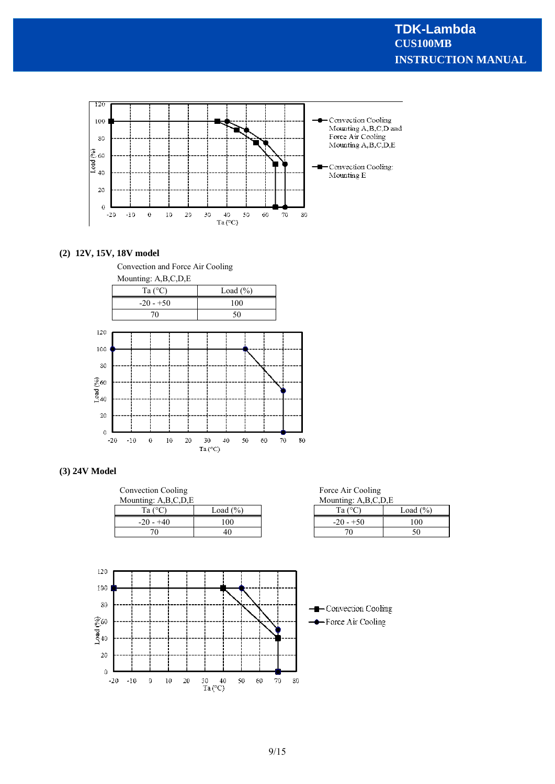

#### **(2) 12V, 15V, 18V model**





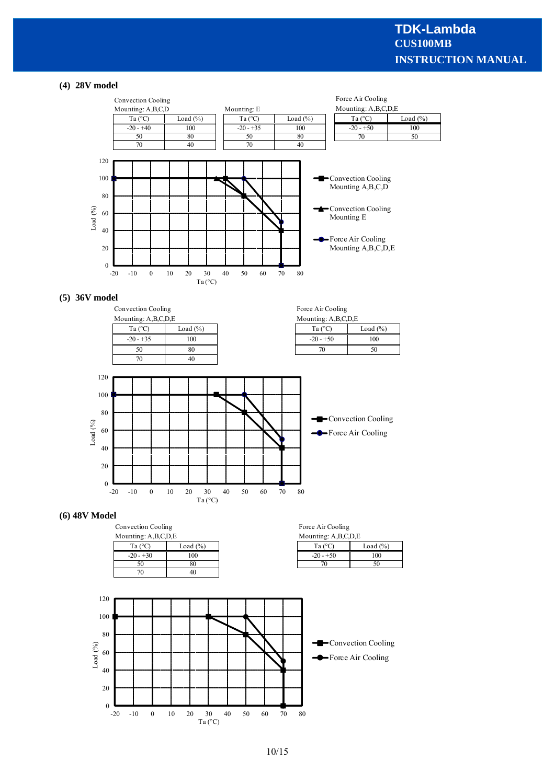#### **(4) 28V model**



#### **(5) 36V model**



#### **(6) 48V Model**

|                  | Convection Cooling  |  | Force Air Cooling   |             |  |
|------------------|---------------------|--|---------------------|-------------|--|
|                  | Mounting: A,B,C,D,E |  | Mounting: A,B,C,D,E |             |  |
| Ta $(^{\circ}C)$ | Load $(\% )$        |  | Ta ( $\degree$ C.   | Load $(\%)$ |  |
| $-20 - +30$      | 100                 |  | $-20 - +50$         | 100         |  |
|                  |                     |  |                     |             |  |
|                  |                     |  |                     |             |  |
|                  |                     |  |                     |             |  |

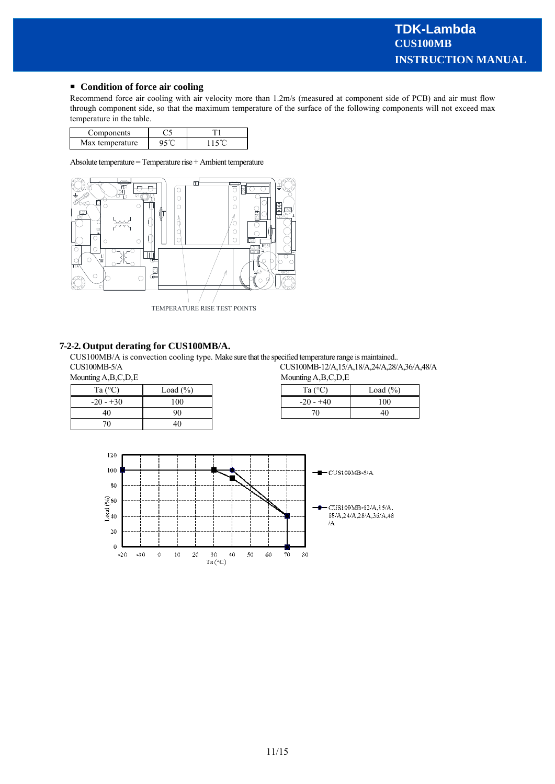#### **Condition of force air cooling**

Recommend force air cooling with air velocity more than 1.2m/s (measured at component side of PCB) and air must flow through component side, so that the maximum temperature of the surface of the following components will not exceed max temperature in the table.

| omnonents        |  |
|------------------|--|
| Max temperature. |  |

Absolute temperature = Temperature rise + Ambient temperature



#### **7-2-2. Output derating for CUS100MB/A.**

CUS100MB/A is convection cooling type. Make sure that the specified temperature range is maintained.. CUS100MB-5/A<br>Mounting A,B,C,D,E<br>Mounting A,B,C,D,E<br>Mounting A,B,C,D,E  $M$ <sub>unting</sub>  $A$ ,  $B$ ,  $C$ ,  $D$ ,  $E$ 

| Mounting A,B,C,D,E |  |  |
|--------------------|--|--|
|--------------------|--|--|

| Ta $(^{\circ}C)$ | $\text{load}(\%)$ | $T_0$ ( $\degree$ C)<br>Ιa | Load (' |
|------------------|-------------------|----------------------------|---------|
| $-20 - 30$       | 100               | $-20 - +40$                | 100     |
| 40               | 90                |                            | 40      |
| 70               | 46                |                            |         |

| 1g A,D,C,D,E |              |  | $N10$ unique $A, D, C, D, E$ |              |
|--------------|--------------|--|------------------------------|--------------|
| Ta (°C       | Load (%)     |  | Ta $(^{\circ}C)$             | Load $(\% )$ |
| $20 - 30$    | $00^{\circ}$ |  | $-20 - +40$                  | 100          |
| 40           | 90           |  | 71                           | 40           |

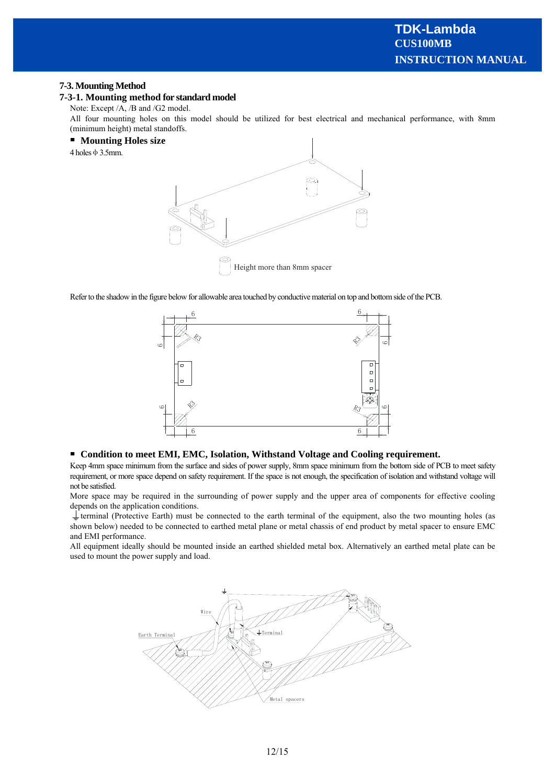#### **7-3. Mounting Method**

#### **7-3-1. Mounting method for standard model**

Note: Except /A, /B and /G2 model.

All four mounting holes on this model should be utilized for best electrical and mechanical performance, with 8mm (minimum height) metal standoffs.

#### **Mounting Holes size**

 $4$  holes  $\phi$  3.5mm.



Refer to the shadow in the figure below for allowable area touched by conductive material on top and bottom side of the PCB.



#### **Condition to meet EMI, EMC, Isolation, Withstand Voltage and Cooling requirement.**

Keep 4mm space minimum from the surface and sides of power supply, 8mm space minimum from the bottom side of PCB to meet safety requirement, or more space depend on safety requirement. If the space is not enough, the specification of isolation and withstand voltage will not be satisfied.

More space may be required in the surrounding of power supply and the upper area of components for effective cooling depends on the application conditions.

 $\perp$  terminal (Protective Earth) must be connected to the earth terminal of the equipment, also the two mounting holes (as shown below) needed to be connected to earthed metal plane or metal chassis of end product by metal spacer to ensure EMC and EMI performance.

All equipment ideally should be mounted inside an earthed shielded metal box. Alternatively an earthed metal plate can be used to mount the power supply and load.

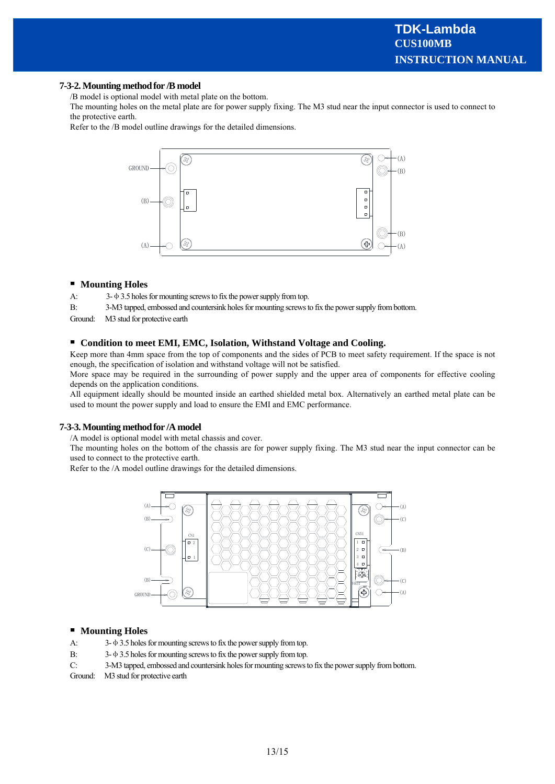#### **7-3-2. Mounting method for /B model**

/B model is optional model with metal plate on the bottom.

The mounting holes on the metal plate are for power supply fixing. The M3 stud near the input connector is used to connect to the protective earth.

Refer to the /B model outline drawings for the detailed dimensions.



#### **Mounting Holes**

A: 3-φ3.5 holes for mounting screws to fix the power supply from top.

B: 3-M3 tapped, embossed and countersink holes for mounting screws to fix the power supply from bottom.

Ground: M3 stud for protective earth

#### **Condition to meet EMI, EMC, Isolation, Withstand Voltage and Cooling.**

Keep more than 4mm space from the top of components and the sides of PCB to meet safety requirement. If the space is not enough, the specification of isolation and withstand voltage will not be satisfied.

More space may be required in the surrounding of power supply and the upper area of components for effective cooling depends on the application conditions.

All equipment ideally should be mounted inside an earthed shielded metal box. Alternatively an earthed metal plate can be used to mount the power supply and load to ensure the EMI and EMC performance.

#### **7-3-3. Mounting method for /A model**

/A model is optional model with metal chassis and cover.

The mounting holes on the bottom of the chassis are for power supply fixing. The M3 stud near the input connector can be used to connect to the protective earth.

Refer to the /A model outline drawings for the detailed dimensions.



#### $\blacksquare$ **Mounting Holes**

- A: 3-φ3.5 holes for mounting screws to fix the power supply from top.
- B: 3-φ3.5 holes for mounting screws to fix the power supply from top.
- C: 3-M3 tapped, embossed and countersink holes for mounting screws to fix the power supply from bottom.
- Ground: M3 stud for protective earth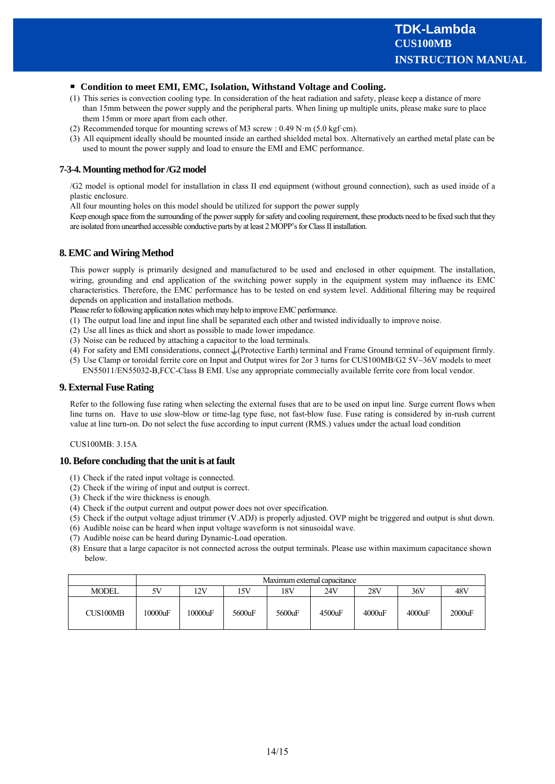#### **Condition to meet EMI, EMC, Isolation, Withstand Voltage and Cooling.**

- (1) This series is convection cooling type. In consideration of the heat radiation and safety, please keep a distance of more than 15mm between the power supply and the peripheral parts. When lining up multiple units, please make sure to place them 15mm or more apart from each other.
- (2) Recommended torque for mounting screws of M3 screw :  $0.49$  N·m (5.0 kgf·cm).
- (3) All equipment ideally should be mounted inside an earthed shielded metal box. Alternatively an earthed metal plate can be used to mount the power supply and load to ensure the EMI and EMC performance.

#### **7-3-4. Mounting method for /G2 model**

/G2 model is optional model for installation in class II end equipment (without ground connection), such as used inside of a plastic enclosure.

All four mounting holes on this model should be utilized for support the power supply

Keep enough space from the surrounding of the power supply for safety and cooling requirement, these products need to be fixed such that they are isolated from unearthed accessible conductive parts by at least 2 MOPP's for Class II installation.

#### **8. EMC and Wiring Method**

This power supply is primarily designed and manufactured to be used and enclosed in other equipment. The installation, wiring, grounding and end application of the switching power supply in the equipment system may influence its EMC characteristics. Therefore, the EMC performance has to be tested on end system level. Additional filtering may be required depends on application and installation methods.

Please refer to following application notes which may help to improve EMC performance.

- (1) The output load line and input line shall be separated each other and twisted individually to improve noise.
- (2) Use all lines as thick and short as possible to made lower impedance.
- (3) Noise can be reduced by attaching a capacitor to the load terminals.
- (4) For safety and EMI considerations, connect  $\downarrow$  (Protective Earth) terminal and Frame Ground terminal of equipment firmly.
- (5) Use Clamp or toroidal ferrite core on Input and Output wires for 2or 3 turns for CUS100MB/G2 5V~36V models to meet EN55011/EN55032-B,FCC-Class B EMI. Use any appropriate commecially available ferrite core from local vendor.

#### **9. External Fuse Rating**

Refer to the following fuse rating when selecting the external fuses that are to be used on input line. Surge current flows when line turns on. Have to use slow-blow or time-lag type fuse, not fast-blow fuse. Fuse rating is considered by in-rush current value at line turn-on. Do not select the fuse according to input current (RMS.) values under the actual load condition

#### CUS100MB: 3.15A

#### **10. Before concluding that the unit is at fault**

- (1) Check if the rated input voltage is connected.
- (2) Check if the wiring of input and output is correct.
- (3) Check if the wire thickness is enough.
- (4) Check if the output current and output power does not over specification.
- (5) Check if the output voltage adjust trimmer (V.ADJ) is properly adjusted. OVP might be triggered and output is shut down.
- (6) Audible noise can be heard when input voltage waveform is not sinusoidal wave.
- (7) Audible noise can be heard during Dynamic-Load operation.
- (8) Ensure that a large capacitor is not connected across the output terminals. Please use within maximum capacitance shown below.

|              | Maximum external capacitance |                                               |        |        |           |        |        |        |
|--------------|------------------------------|-----------------------------------------------|--------|--------|-----------|--------|--------|--------|
| <b>MODEL</b> | 5V                           | 28V<br>18V<br>24V<br>48V<br>12V<br>36V<br>15V |        |        |           |        |        |        |
| CUS100MB     | 10000uF                      | 10000uF                                       | 5600uF | 5600uF | $4500$ uF | 4000uF | 4000uF | 2000uF |